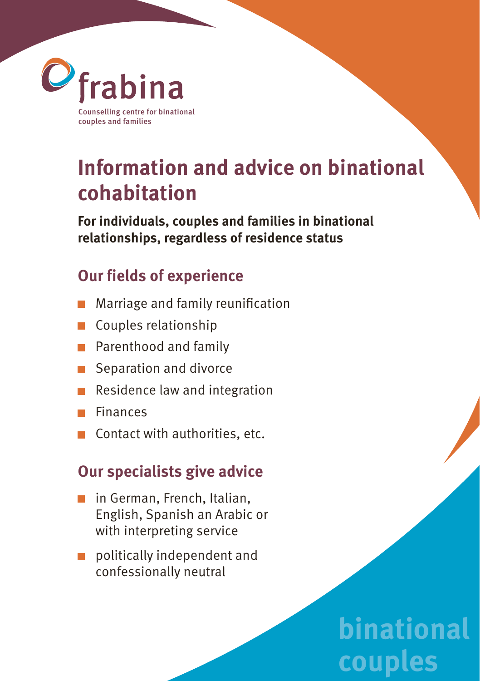

# **Information and advice on binational cohabitation**

**For individuals, couples and families in binational relationships, regardless of residence status**

# **Our fields of experience**

- Marriage and family reunification **The State**
- Couples relationship
- **Parenthood and family**
- Separation and divorce
- Residence law and integration
- Finances
- Contact with authorities, etc.

### **Our specialists give advice**

- in German, French, Italian, English, Spanish an Arabic or with interpreting service
- politically independent and confessionally neutral

# **binational couples**